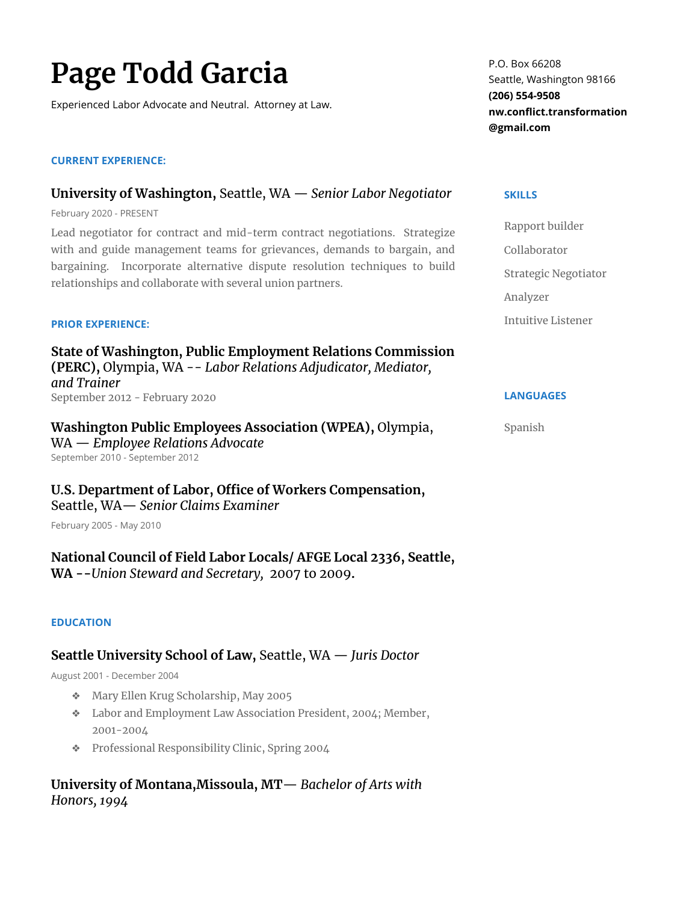# **Page Todd Garcia**

Experienced Labor Advocate and Neutral. Attorney at Law.

## **CURRENT EXPERIENCE:**

# **University of Washington,** Seattle, WA — *Senior Labor Negotiator*

February 2020 - PRESENT

Lead negotiator for contract and mid-term contract negotiations. Strategize with and guide management teams for grievances, demands to bargain, and bargaining. Incorporate alternative dispute resolution techniques to build relationships and collaborate with several union partners.

## **PRIOR EXPERIENCE:**

**State of Washington, Public Employment Relations Commission (PERC),** Olympia, WA -- *Labor Relations Adjudicator, Mediator, and Trainer* September 2012 - February 2020

**Washington Public Employees Association (WPEA),** Olympia, WA — *Employee Relations Advocate* September 2010 - September 2012

**U.S. Department of Labor, Office of Workers Compensation,**  Seattle, WA— *Senior Claims Examiner* 

February 2005 - May 2010

**National Council of Field Labor Locals/ AFGE Local 2336, Seattle, WA --***Union Steward and Secretary,*2007 to 2009**.**

## **EDUCATION**

# **Seattle University School of Law,** Seattle, WA — *Juris Doctor*

August 2001 - December 2004

- ❖ Mary Ellen Krug Scholarship, May 2005
- ❖ Labor and Employment Law Association President, 2004; Member, 2001-2004
- ❖ Professional Responsibility Clinic, Spring 2004

# **University of Montana,Missoula, MT**— *Bachelor of Arts with Honors, 1994*

P.O. Box 66208 Seattle, Washington 98166 **(206) 554-9508 nw.conflict.transformation @gmail.com**

#### **SKILLS**

Rapport builder Collaborator Strategic Negotiator Analyzer Intuitive Listener

## **LANGUAGES**

#### Spanish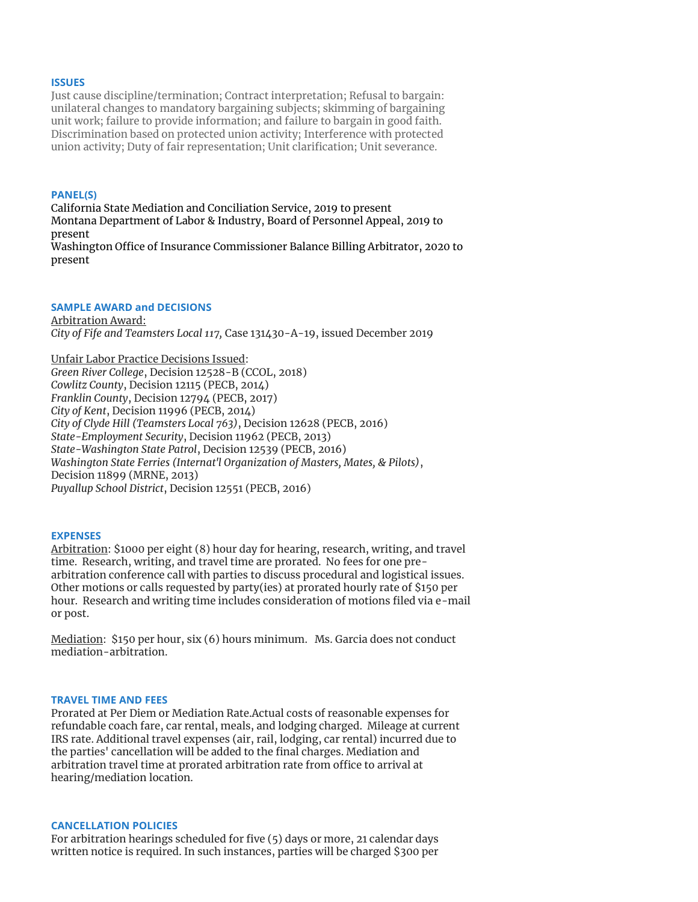#### **ISSUES**

Just cause discipline/termination; Contract interpretation; Refusal to bargain: unilateral changes to mandatory bargaining subjects; skimming of bargaining unit work; failure to provide information; and failure to bargain in good faith. Discrimination based on protected union activity; Interference with protected union activity; Duty of fair representation; Unit clarification; Unit severance.

#### **PANEL(S)**

California State Mediation and Conciliation Service, 2019 to present Montana Department of Labor & Industry, Board of Personnel Appeal, 2019 to present Washington Office of Insurance Commissioner Balance Billing Arbitrator, 2020 to present

#### **SAMPLE AWARD and DECISIONS**

Arbitration Award: *City of Fife and Teamsters Local 117,* Case 131430-A-19, issued December 2019

Unfair Labor Practice Decisions Issued: *Green River College*, Decision 12528-B (CCOL, 2018) *Cowlitz County*, Decision 12115 (PECB, 2014) *Franklin County*, Decision 12794 (PECB, 2017) *City of Kent*, Decision 11996 (PECB, 2014) *City of Clyde Hill (Teamsters Local 763)*, Decision 12628 (PECB, 2016) *State-Employment Security*, Decision 11962 (PECB, 2013) *State-Washington State Patrol*, Decision 12539 (PECB, 2016) *Washington State Ferries (Internat'l Organization of Masters, Mates, & Pilots)*, Decision 11899 (MRNE, 2013) *Puyallup School District*, Decision 12551 (PECB, 2016)

#### **EXPENSES**

Arbitration: \$1000 per eight (8) hour day for hearing, research, writing, and travel time. Research, writing, and travel time are prorated. No fees for one prearbitration conference call with parties to discuss procedural and logistical issues. Other motions or calls requested by party(ies) at prorated hourly rate of \$150 per hour. Research and writing time includes consideration of motions filed via e-mail or post.

Mediation: \$150 per hour, six (6) hours minimum. Ms. Garcia does not conduct mediation-arbitration.

#### **TRAVEL TIME AND FEES**

Prorated at Per Diem or Mediation Rate.Actual costs of reasonable expenses for refundable coach fare, car rental, meals, and lodging charged. Mileage at current IRS rate. Additional travel expenses (air, rail, lodging, car rental) incurred due to the parties' cancellation will be added to the final charges. Mediation and arbitration travel time at prorated arbitration rate from office to arrival at hearing/mediation location.

#### **CANCELLATION POLICIES**

For arbitration hearings scheduled for five (5) days or more, 21 calendar days written notice is required. In such instances, parties will be charged \$300 per